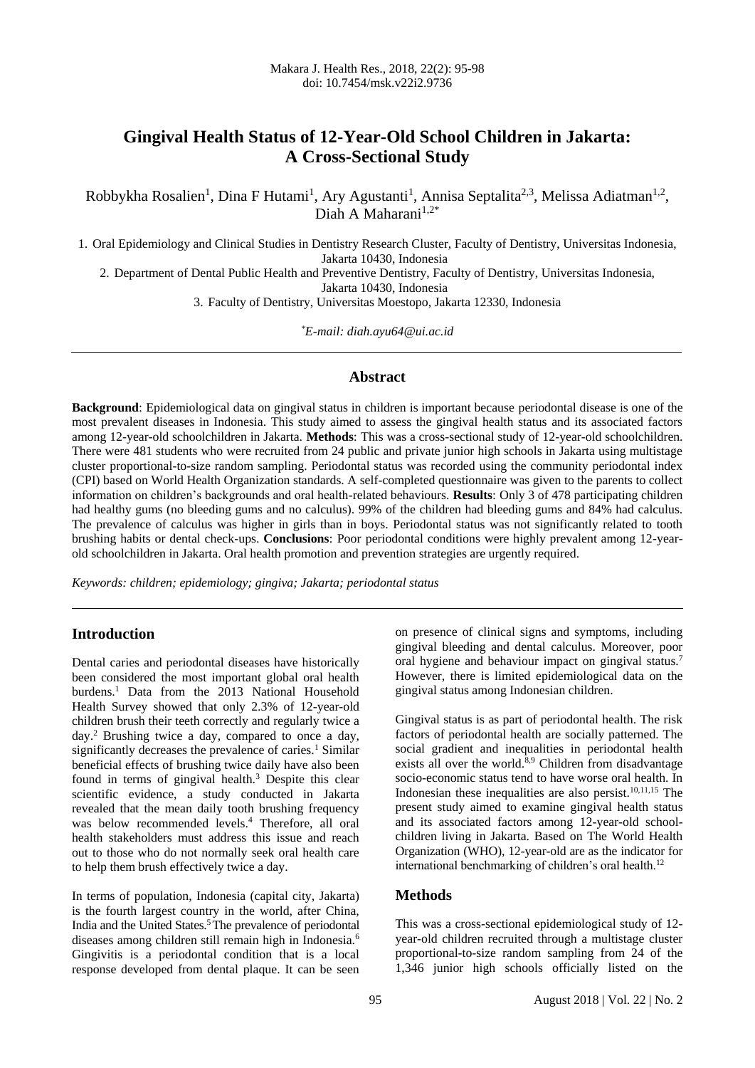# **Gingival Health Status of 12-Year-Old School Children in Jakarta: A Cross-Sectional Study**

Robbykha Rosalien<sup>1</sup>, Dina F Hutami<sup>1</sup>, Ary Agustanti<sup>1</sup>, Annisa Septalita<sup>2,3</sup>, Melissa Adiatman<sup>1,2</sup>, Diah A Maharani $1,2^*$ 

1. Oral Epidemiology and Clinical Studies in Dentistry Research Cluster, Faculty of Dentistry, Universitas Indonesia, Jakarta 10430, Indonesia

2. Department of Dental Public Health and Preventive Dentistry, Faculty of Dentistry, Universitas Indonesia, Jakarta 10430, Indonesia

3. Faculty of Dentistry, Universitas Moestopo, Jakarta 12330, Indonesia

*\*E-mail: diah.ayu64@ui.ac.id*

#### **Abstract**

**Background**: Epidemiological data on gingival status in children is important because periodontal disease is one of the most prevalent diseases in Indonesia. This study aimed to assess the gingival health status and its associated factors among 12-year-old schoolchildren in Jakarta. **Methods**: This was a cross-sectional study of 12-year-old schoolchildren. There were 481 students who were recruited from 24 public and private junior high schools in Jakarta using multistage cluster proportional-to-size random sampling. Periodontal status was recorded using the community periodontal index (CPI) based on World Health Organization standards. A self-completed questionnaire was given to the parents to collect information on children's backgrounds and oral health-related behaviours. **Results**: Only 3 of 478 participating children had healthy gums (no bleeding gums and no calculus). 99% of the children had bleeding gums and 84% had calculus. The prevalence of calculus was higher in girls than in boys. Periodontal status was not significantly related to tooth brushing habits or dental check-ups. **Conclusions**: Poor periodontal conditions were highly prevalent among 12-yearold schoolchildren in Jakarta. Oral health promotion and prevention strategies are urgently required.

*Keywords: children; epidemiology; gingiva; Jakarta; periodontal status* 

## **Introduction**

Dental caries and periodontal diseases have historically been considered the most important global oral health burdens.<sup>1</sup> Data from the 2013 National Household Health Survey showed that only 2.3% of 12-year-old children brush their teeth correctly and regularly twice a day.<sup>2</sup> Brushing twice a day, compared to once a day, significantly decreases the prevalence of caries. $\frac{1}{2}$  Similar beneficial effects of brushing twice daily have also been found in terms of gingival health.<sup>3</sup> Despite this clear scientific evidence, a study conducted in Jakarta revealed that the mean daily tooth brushing frequency was below recommended levels.<sup>4</sup> Therefore, all oral health stakeholders must address this issue and reach out to those who do not normally seek oral health care to help them brush effectively twice a day.

In terms of population, Indonesia (capital city, Jakarta) is the fourth largest country in the world, after China, India and the United States.<sup>5</sup>The prevalence of periodontal diseases among children still remain high in Indonesia.<sup>6</sup> Gingivitis is a periodontal condition that is a local response developed from dental plaque. It can be seen on presence of clinical signs and symptoms, including gingival bleeding and dental calculus. Moreover, poor oral hygiene and behaviour impact on gingival status.<sup>7</sup> However, there is limited epidemiological data on the gingival status among Indonesian children.

Gingival status is as part of periodontal health. The risk factors of periodontal health are socially patterned. The social gradient and inequalities in periodontal health exists all over the world. $8,9$  Children from disadvantage socio-economic status tend to have worse oral health. In Indonesian these inequalities are also persist. $10,11,15$  The present study aimed to examine gingival health status and its associated factors among 12-year-old schoolchildren living in Jakarta. Based on The World Health Organization (WHO), 12-year-old are as the indicator for international benchmarking of children's oral health.<sup>12</sup>

#### **Methods**

This was a cross-sectional epidemiological study of 12 year-old children recruited through a multistage cluster proportional-to-size random sampling from 24 of the 1,346 junior high schools officially listed on the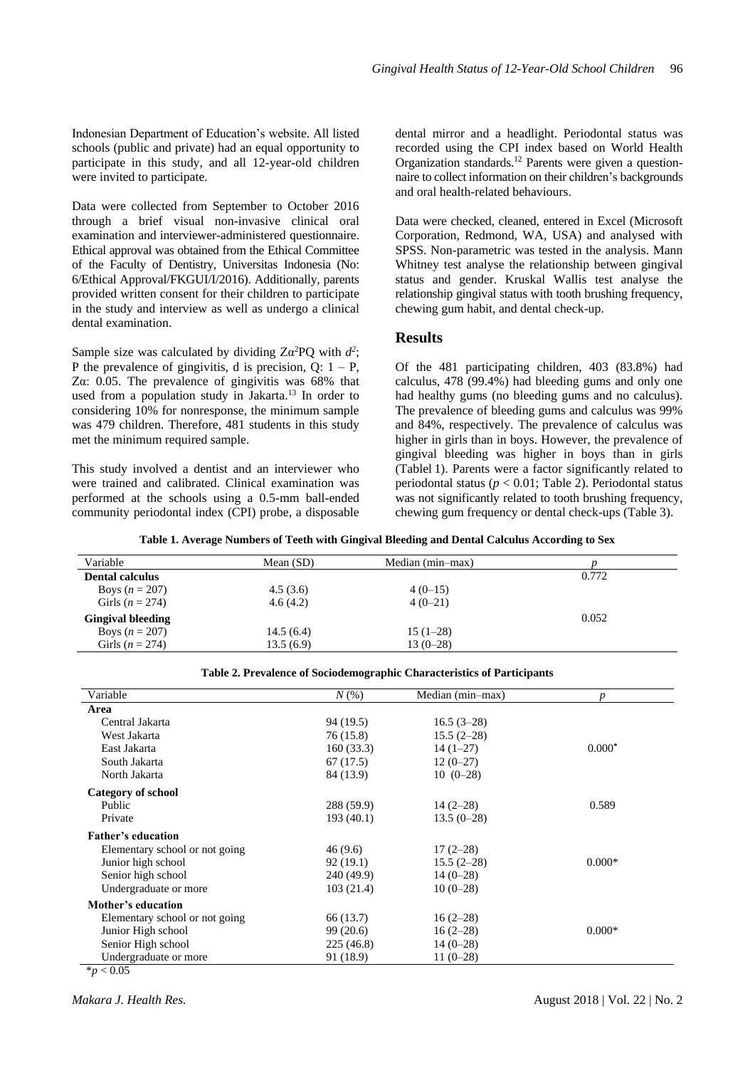Indonesian Department of Education's website. All listed schools (public and private) had an equal opportunity to participate in this study, and all 12-year-old children were invited to participate.

Data were collected from September to October 2016 through a brief visual non-invasive clinical oral examination and interviewer-administered questionnaire. Ethical approval was obtained from the Ethical Committee of the Faculty of Dentistry, Universitas Indonesia (No: 6/Ethical Approval/FKGUI/I/2016). Additionally, parents provided written consent for their children to participate in the study and interview as well as undergo a clinical dental examination.

Sample size was calculated by dividing  $Z\alpha^2 PQ$  with  $d^2$ ; P the prevalence of gingivitis, d is precision,  $Q: 1 - P$ , Zα: 0.05. The prevalence of gingivitis was 68% that used from a population study in Jakarta. 13 In order to considering 10% for nonresponse, the minimum sample was 479 children. Therefore, 481 students in this study met the minimum required sample.

This study involved a dentist and an interviewer who were trained and calibrated. Clinical examination was performed at the schools using a 0.5-mm ball-ended community periodontal index (CPI) probe, a disposable

dental mirror and a headlight. Periodontal status was recorded using the CPI index based on World Health Organization standards. <sup>12</sup> Parents were given a questionnaire to collect information on their children's backgrounds and oral health-related behaviours.

Data were checked, cleaned, entered in Excel (Microsoft Corporation, Redmond, WA, USA) and analysed with SPSS. Non-parametric was tested in the analysis. Mann Whitney test analyse the relationship between gingival status and gender. Kruskal Wallis test analyse the relationship gingival status with tooth brushing frequency, chewing gum habit, and dental check-up.

#### **Results**

Of the 481 participating children, 403 (83.8%) had calculus, 478 (99.4%) had bleeding gums and only one had healthy gums (no bleeding gums and no calculus). The prevalence of bleeding gums and calculus was 99% and 84%, respectively. The prevalence of calculus was higher in girls than in boys. However, the prevalence of gingival bleeding was higher in boys than in girls (Tablel 1). Parents were a factor significantly related to periodontal status (*p* < 0.01; Table 2). Periodontal status was not significantly related to tooth brushing frequency, chewing gum frequency or dental check-ups (Table 3).

**Table 1. Average Numbers of Teeth with Gingival Bleeding and Dental Calculus According to Sex**

| Variable                 | Mean $(SD)$ | Median (min-max) |       |
|--------------------------|-------------|------------------|-------|
| <b>Dental calculus</b>   |             |                  | 0.772 |
| Boys $(n = 207)$         | 4.5(3.6)    | $4(0-15)$        |       |
| Girls ( $n = 274$ )      | 4.6(4.2)    | $4(0-21)$        |       |
| <b>Gingival bleeding</b> |             |                  | 0.052 |
| Boys $(n = 207)$         | 14.5(6.4)   | $15(1-28)$       |       |
| Girls $(n = 274)$        | 13.5(6.9)   | $13(0-28)$       |       |

| Variable                                      | $N(\%)$    | Median (min-max) |          |
|-----------------------------------------------|------------|------------------|----------|
|                                               |            |                  | D        |
| Area                                          |            |                  |          |
| Central Jakarta                               | 94(19.5)   | $16.5(3-28)$     |          |
| West Jakarta                                  | 76 (15.8)  | $15.5(2-28)$     |          |
| East Jakarta                                  | 160(33.3)  | $14(1-27)$       | $0.000*$ |
| South Jakarta                                 | 67 (17.5)  | $12(0-27)$       |          |
| North Jakarta                                 | 84 (13.9)  | $10(0-28)$       |          |
| Category of school                            |            |                  |          |
| Public                                        | 288 (59.9) | $14(2-28)$       | 0.589    |
| Private                                       | 193(40.1)  | $13.5(0-28)$     |          |
| <b>Father's education</b>                     |            |                  |          |
| Elementary school or not going                | 46 (9.6)   | $17(2-28)$       |          |
| Junior high school                            | 92(19.1)   | $15.5(2-28)$     | $0.000*$ |
| Senior high school                            | 240 (49.9) | $14(0-28)$       |          |
| Undergraduate or more                         | 103(21.4)  | $10(0-28)$       |          |
| Mother's education                            |            |                  |          |
| Elementary school or not going                | 66 (13.7)  | $16(2-28)$       |          |
| Junior High school                            | 99 (20.6)  | $16(2-28)$       | $0.000*$ |
| Senior High school                            | 225 (46.8) | $14(0-28)$       |          |
| Undergraduate or more<br>$\sim$ $\sim$ $\sim$ | 91 (18.9)  | $11(0-28)$       |          |

**Table 2. Prevalence of Sociodemographic Characteristics of Participants**

 $*$ *p* < 0.05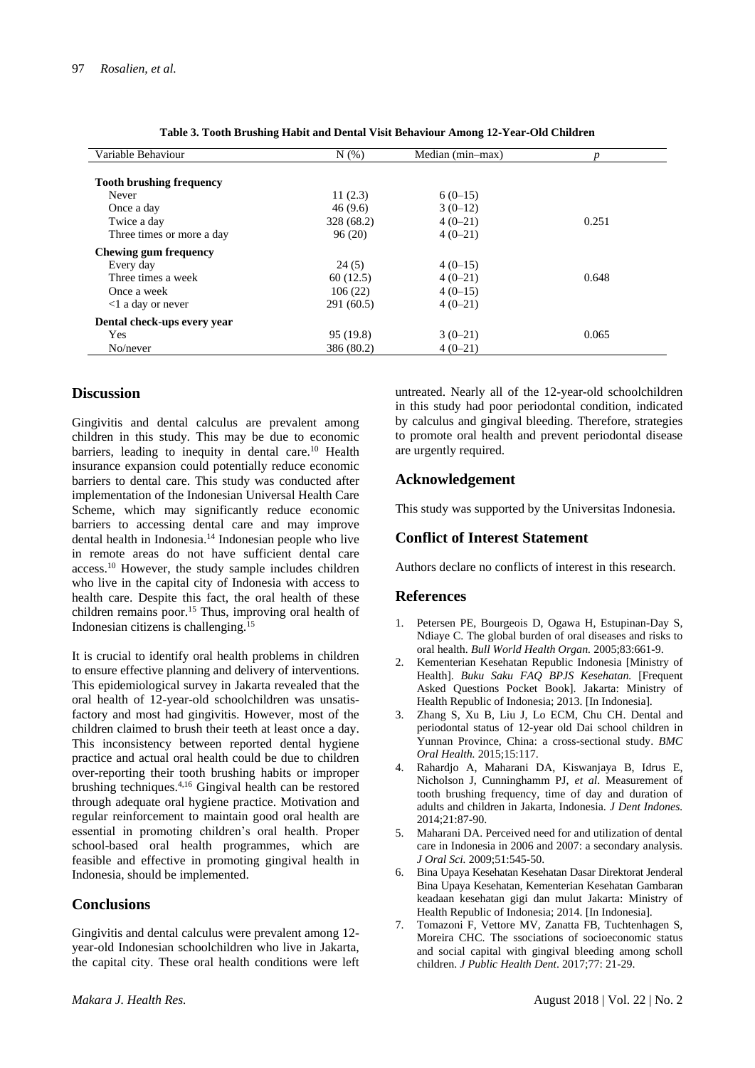| Variable Behaviour              | N(% )      | Median (min-max) |       |
|---------------------------------|------------|------------------|-------|
| <b>Tooth brushing frequency</b> |            |                  |       |
| Never                           | 11(2.3)    | $6(0-15)$        |       |
| Once a day                      | 46(9.6)    | $3(0-12)$        |       |
| Twice a day                     | 328 (68.2) | $4(0-21)$        | 0.251 |
| Three times or more a day       | 96(20)     | $4(0-21)$        |       |
| Chewing gum frequency           |            |                  |       |
| Every day                       | 24(5)      | $4(0-15)$        |       |
| Three times a week              | 60(12.5)   | $4(0-21)$        | 0.648 |
| Once a week                     | 106(22)    | $4(0-15)$        |       |
| $\langle$ l a day or never      | 291 (60.5) | $4(0-21)$        |       |
| Dental check-ups every year     |            |                  |       |
| Yes                             | 95(19.8)   | $3(0-21)$        | 0.065 |
| No/never                        | 386 (80.2) | $4(0-21)$        |       |

| Table 3. Tooth Brushing Habit and Dental Visit Behaviour Among 12-Year-Old Children |
|-------------------------------------------------------------------------------------|
|                                                                                     |

### **Discussion**

Gingivitis and dental calculus are prevalent among children in this study. This may be due to economic barriers, leading to inequity in dental care.<sup>10</sup> Health insurance expansion could potentially reduce economic barriers to dental care. This study was conducted after implementation of the Indonesian Universal Health Care Scheme, which may significantly reduce economic barriers to accessing dental care and may improve dental health in Indonesia. <sup>14</sup> Indonesian people who live in remote areas do not have sufficient dental care access. <sup>10</sup> However, the study sample includes children who live in the capital city of Indonesia with access to health care. Despite this fact, the oral health of these children remains poor. <sup>15</sup> Thus, improving oral health of Indonesian citizens is challenging.<sup>15</sup>

It is crucial to identify oral health problems in children to ensure effective planning and delivery of interventions. This epidemiological survey in Jakarta revealed that the oral health of 12-year-old schoolchildren was unsatisfactory and most had gingivitis. However, most of the children claimed to brush their teeth at least once a day. This inconsistency between reported dental hygiene practice and actual oral health could be due to children over-reporting their tooth brushing habits or improper brushing techniques. 4,16 Gingival health can be restored through adequate oral hygiene practice. Motivation and regular reinforcement to maintain good oral health are essential in promoting children's oral health. Proper school-based oral health programmes, which are feasible and effective in promoting gingival health in Indonesia, should be implemented.

#### **Conclusions**

Gingivitis and dental calculus were prevalent among 12 year-old Indonesian schoolchildren who live in Jakarta, the capital city. These oral health conditions were left untreated. Nearly all of the 12-year-old schoolchildren in this study had poor periodontal condition, indicated by calculus and gingival bleeding. Therefore, strategies to promote oral health and prevent periodontal disease are urgently required.

## **Acknowledgement**

This study was supported by the Universitas Indonesia.

## **Conflict of Interest Statement**

Authors declare no conflicts of interest in this research.

#### **References**

- 1. Petersen PE, Bourgeois D, Ogawa H, Estupinan-Day S, Ndiaye C. The global burden of oral diseases and risks to oral health. *Bull World Health Organ.* 2005;83:661-9.
- 2. Kementerian Kesehatan Republic Indonesia [Ministry of Health]. *Buku Saku FAQ BPJS Kesehatan.* [Frequent Asked Questions Pocket Book]. Jakarta: Ministry of Health Republic of Indonesia; 2013. [In Indonesia].
- 3. Zhang S, Xu B, Liu J, Lo ECM, Chu CH. Dental and periodontal status of 12-year old Dai school children in Yunnan Province, China: a cross-sectional study. *BMC Oral Health.* 2015;15:117.
- 4. Rahardjo A, Maharani DA, Kiswanjaya B, Idrus E, Nicholson J, Cunninghamm PJ, *et al*. Measurement of tooth brushing frequency, time of day and duration of adults and children in Jakarta, Indonesia. *J Dent Indones.*   $2014.21.87-90$
- 5. Maharani DA. Perceived need for and utilization of dental care in Indonesia in 2006 and 2007: a secondary analysis. *J Oral Sci.* 2009;51:545-50.
- 6. Bina Upaya Kesehatan Kesehatan Dasar Direktorat Jenderal Bina Upaya Kesehatan, Kementerian Kesehatan Gambaran keadaan kesehatan gigi dan mulut Jakarta: Ministry of Health Republic of Indonesia; 2014. [In Indonesia].
- 7. Tomazoni F, Vettore MV, Zanatta FB, Tuchtenhagen S, Moreira CHC. The ssociations of socioeconomic status and social capital with gingival bleeding among scholl children. *J Public Health Dent*. 2017;77: 21-29.